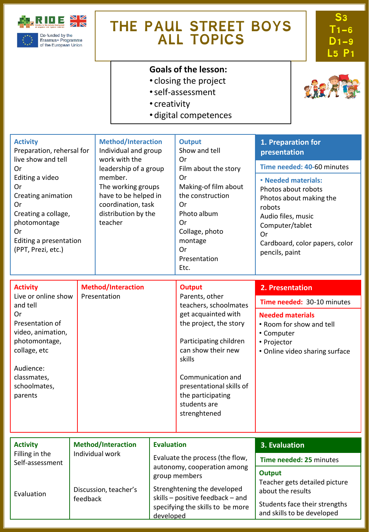

Erasmus+ Programme<br>of the European Union

# **THE PAUL STREET BOYS ALL TOPICS**

**S3 T1-6 D1-9 L5 P1**

# **Goals of the lesson:**

- closing the project
- •self-assessment
- creativity
- digital competences